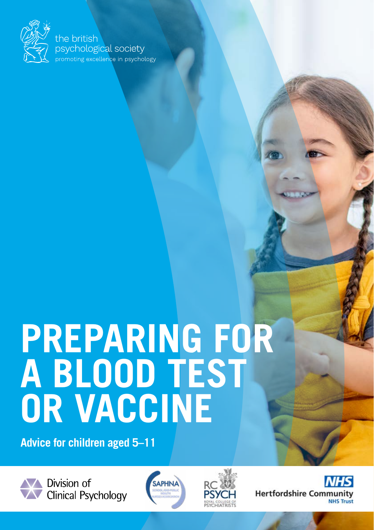

the british psychological society .<br>promoting excellence in psychology

# **PREPARING FOR A BLOOD TEST OR VACCINE**

**Advice for children aged 5–11**



Division of Clinical Psychology





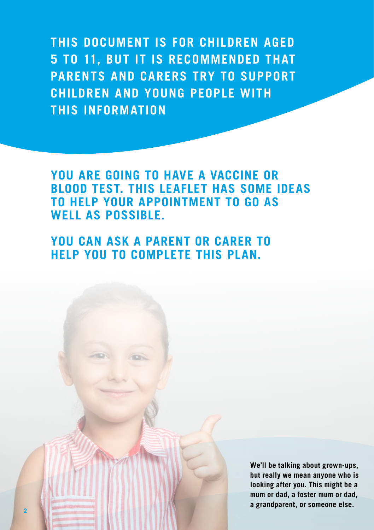**THIS DOCUMENT IS FOR CHILDREN AGED 5 TO 11, BUT IT IS RECOMMENDED THAT PARENTS AND CARERS TRY TO SUPPORT CHILDREN AND YOUNG PEOPLE WITH THIS INFORMATION**

**YOU ARE GOING TO HAVE A VACCINE OR BLOOD TEST. THIS LEAFLET HAS SOME IDEAS TO HELP YOUR APPOINTMENT TO GO AS WELL AS POSSIBLE.**

**YOU CAN ASK A PARENT OR CARER TO HELP YOU TO COMPLETE THIS PLAN.** 

> **We'll be talking about grown-ups, but really we mean anyone who is looking after you. This might be a mum or dad, a foster mum or dad, a grandparent, or someone else.**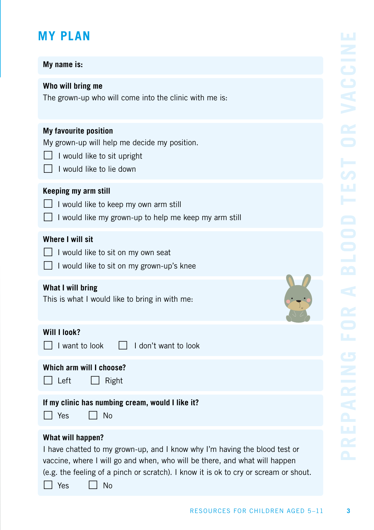# **MY PLAN**

## **My name is:**

## **Who will bring me**

The grown-up who will come into the clinic with me is:

#### **My favourite position**

My grown-up will help me decide my position.

- $\Box$  I would like to sit upright
- $\Box$  I would like to lie down

### **Keeping my arm still**

- $\Box$  I would like to keep my own arm still
- $\Box$  I would like my grown-up to help me keep my arm still

## **Where I will sit**

- $\overline{\phantom{a}}$  I would like to sit on my own seat
- I would like to sit on my grown-up's knee

## **What I will bring**

This is what I would like to bring in with me:

# **Will I look?**

 $\Box$  I want to look  $\Box$  I don't want to look

# **Which arm will I choose?**

| еτ |  |
|----|--|
|----|--|

 $\Box$  Right

#### **If my clinic has numbing cream, would I like it?**

 $\Box$  Yes  $\Box$  No

### **What will happen?**

I have chatted to my grown-up, and I know why I'm having the blood test or vaccine, where I will go and when, who will be there, and what will happen (e.g. the feeling of a pinch or scratch). I know it is ok to cry or scream or shout.

 $\Box$  Yes  $\Box$  No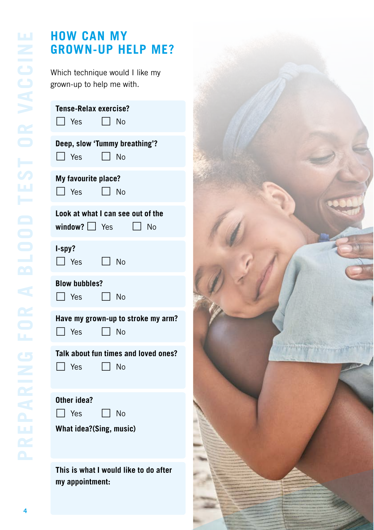# **HOW CAN MY GROWN-UP HELP ME?**

Which technique would I like my grown-up to help me with.

| Tense-Relax exercise?<br>$\Box$ Yes $\Box$ No                     |
|-------------------------------------------------------------------|
| Deep, slow 'Tummy breathing'?<br>$\Box$ Yes $\Box$ No             |
| My favourite place?<br>$\Box$ Yes $\Box$ No                       |
| Look at what I can see out of the<br>window? $\Box$ Yes $\Box$ No |
| I-spy?<br>$\Box$ Yes<br>$\Box$ No                                 |
| <b>Blow bubbles?</b><br>$\Box$ Yes $\Box$ No                      |
| Have my grown-up to stroke my arm?<br>$\Box$ Yes $\Box$ No        |
| Talk about fun times and loved ones?<br>$\Box$ Yes<br>$\Box$ No   |
| Other idea?<br>$\Box$ Yes<br>$\Box$ No<br>What idea?(Sing, music) |
| This is what I would like to do after                             |



**my appointment:**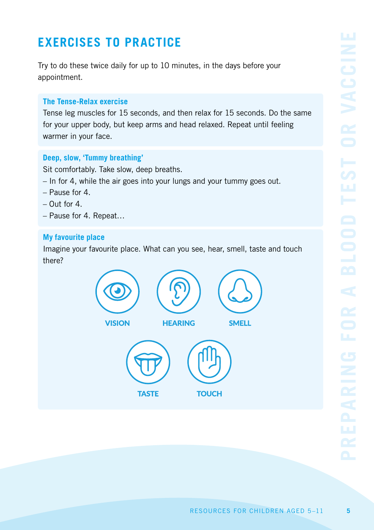# **EXERCISES TO PRACTICE**

Try to do these twice daily for up to 10 minutes, in the days before your appointment.

## **The Tense-Relax exercise**

Tense leg muscles for 15 seconds, and then relax for 15 seconds. Do the same for your upper body, but keep arms and head relaxed. Repeat until feeling warmer in your face.

## **Deep, slow, 'Tummy breathing'**

Sit comfortably. Take slow, deep breaths.

- In for 4, while the air goes into your lungs and your tummy goes out.
- Pause for 4.
- $-$  Out for  $\Lambda$
- Pause for 4. Repeat…

### **My favourite place**

Imagine your favourite place. What can you see, hear, smell, taste and touch there?

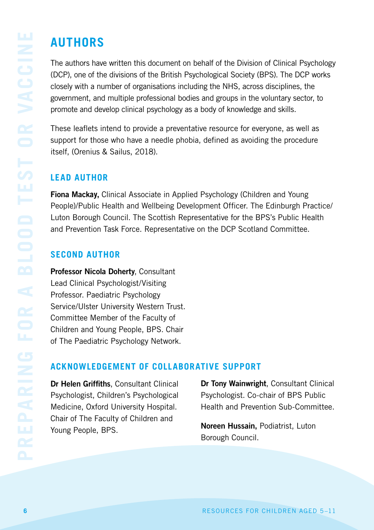# **AUTHORS**

The authors have written this document on behalf of the Division of Clinical Psychology (DCP), one of the divisions of the British Psychological Society (BPS). The DCP works closely with a number of organisations including the NHS, across disciplines, the government, and multiple professional bodies and groups in the voluntary sector, to promote and develop clinical psychology as a body of knowledge and skills.

These leaflets intend to provide a preventative resource for everyone, as well as support for those who have a needle phobia, defined as avoiding the procedure itself, (Orenius & Sailus, 2018).

# **LEAD AUTHOR**

Fiona Mack**ay,** Clinical Associate in Applied Psychology (Children and Young People)/Public Health and Wellbeing Development Officer. The Edinburgh Practice/ Luton Borough Council. The Scottish Representative for the BPS's Public Health and Prevention Task Force. Representative on the DCP Scotland Committee.

# **SECOND AUTHOR**

Professor Nicola Doherty, Consultant Lead Clinical Psychologist/Visiting Professor. Paediatric Psychology Service/Ulster University Western Trust. Committee Member of the Faculty of Children and Young People, BPS. Chair of The Paediatric Psychology Network.

# **ACKNOWLEDGEMENT OF COLLABORATIVE SUPPORT**

Dr Helen Griffiths, Consultant Clinical Psychologist, Children's Psychological Medicine, Oxford University Hospital. Chair of The Faculty of Children and Young People, BPS.

Dr Tony Wainwright, Consultant Clinical Psychologist. Co-chair of BPS Public Health and Prevention Sub-Committee.

Noreen Hussain, Podiatrist, Luton Borough Council.